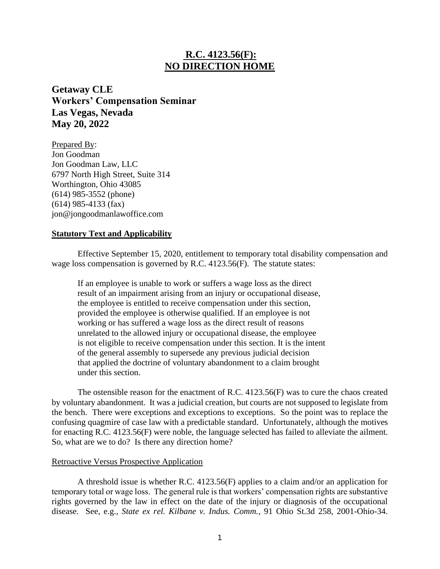# **R.C. 4123.56(F): NO DIRECTION HOME**

**Getaway CLE Workers' Compensation Seminar Las Vegas, Nevada May 20, 2022**

Prepared By: Jon Goodman Jon Goodman Law, LLC 6797 North High Street, Suite 314 Worthington, Ohio 43085 (614) 985-3552 (phone) (614) 985-4133 (fax) jon@jongoodmanlawoffice.com

### **Statutory Text and Applicability**

Effective September 15, 2020, entitlement to temporary total disability compensation and wage loss compensation is governed by R.C. 4123.56(F). The statute states:

If an employee is unable to work or suffers a wage loss as the direct result of an impairment arising from an injury or occupational disease, the employee is entitled to receive compensation under this section, provided the employee is otherwise qualified. If an employee is not working or has suffered a wage loss as the direct result of reasons unrelated to the allowed injury or occupational disease, the employee is not eligible to receive compensation under this section. It is the intent of the general assembly to supersede any previous judicial decision that applied the doctrine of voluntary abandonment to a claim brought under this section.

The ostensible reason for the enactment of R.C. 4123.56(F) was to cure the chaos created by voluntary abandonment. It was a judicial creation, but courts are not supposed to legislate from the bench. There were exceptions and exceptions to exceptions. So the point was to replace the confusing quagmire of case law with a predictable standard. Unfortunately, although the motives for enacting R.C. 4123.56(F) were noble, the language selected has failed to alleviate the ailment. So, what are we to do? Is there any direction home?

#### Retroactive Versus Prospective Application

A threshold issue is whether R.C. 4123.56(F) applies to a claim and/or an application for temporary total or wage loss. The general rule is that workers' compensation rights are substantive rights governed by the law in effect on the date of the injury or diagnosis of the occupational disease. See, e.g., *State ex rel. Kilbane v. Indus. Comm.*, 91 Ohio St.3d 258, 2001-Ohio-34.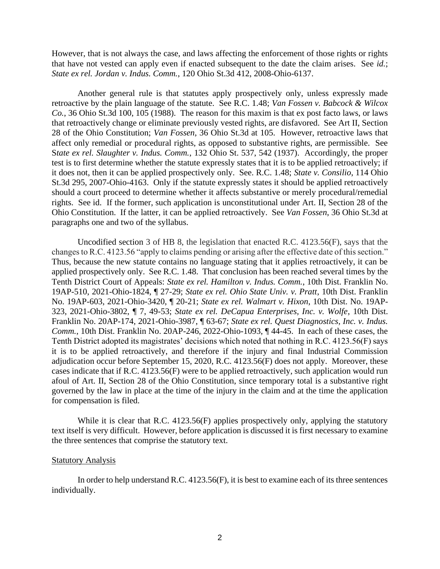However, that is not always the case, and laws affecting the enforcement of those rights or rights that have not vested can apply even if enacted subsequent to the date the claim arises. See *id.*; *State ex rel. Jordan v. Indus. Comm.*, 120 Ohio St.3d 412, 2008-Ohio-6137.

Another general rule is that statutes apply prospectively only, unless expressly made retroactive by the plain language of the statute. See R.C. 1.48; *Van Fossen v. Babcock & Wilcox Co.*, 36 Ohio St.3d 100, 105 (1988). The reason for this maxim is that ex post facto laws, or laws that retroactively change or eliminate previously vested rights, are disfavored. See Art II, Section 28 of the Ohio Constitution; *Van Fossen*, 36 Ohio St.3d at 105. However, retroactive laws that affect only remedial or procedural rights, as opposed to substantive rights, are permissible. See S*tate ex rel. Slaughter v. Indus. Comm.*, 132 Ohio St. 537, 542 (1937). Accordingly, the proper test is to first determine whether the statute expressly states that it is to be applied retroactively; if it does not, then it can be applied prospectively only. See. R.C. 1.48; *State v. Consilio*, 114 Ohio St.3d 295, 2007-Ohio-4163. Only if the statute expressly states it should be applied retroactively should a court proceed to determine whether it affects substantive or merely procedural/remedial rights. See id. If the former, such application is unconstitutional under Art. II, Section 28 of the Ohio Constitution. If the latter, it can be applied retroactively. See *Van Fossen*, 36 Ohio St.3d at paragraphs one and two of the syllabus.

Uncodified section 3 of HB 8, the legislation that enacted R.C. 4123.56(F), says that the changes to R.C. 4123.56 "apply to claims pending or arising after the effective date of this section." Thus, because the new statute contains no language stating that it applies retroactively, it can be applied prospectively only. See R.C. 1.48. That conclusion has been reached several times by the Tenth District Court of Appeals: *State ex rel. Hamilton v. Indus. Comm.*, 10th Dist. Franklin No. 19AP-510, 2021-Ohio-1824, ¶ 27-29; *State ex rel. Ohio State Univ. v. Pratt*, 10th Dist. Franklin No. 19AP-603, 2021-Ohio-3420, ¶ 20-21; *State ex rel. Walmart v. Hixon*, 10th Dist. No. 19AP-323, 2021-Ohio-3802, ¶ 7, 49-53; *State ex rel. DeCapua Enterprises, Inc. v. Wolfe*, 10th Dist. Franklin No. 20AP-174, 2021-Ohio-3987, ¶ 63-67; *State ex rel. Quest Diagnostics, Inc. v. Indus. Comm.*, 10th Dist. Franklin No. 20AP-246, 2022-Ohio-1093, ¶ 44-45. In each of these cases, the Tenth District adopted its magistrates' decisions which noted that nothing in R.C. 4123.56(F) says it is to be applied retroactively, and therefore if the injury and final Industrial Commission adjudication occur before September 15, 2020, R.C. 4123.56(F) does not apply. Moreover, these cases indicate that if R.C. 4123.56(F) were to be applied retroactively, such application would run afoul of Art. II, Section 28 of the Ohio Constitution, since temporary total is a substantive right governed by the law in place at the time of the injury in the claim and at the time the application for compensation is filed.

While it is clear that R.C. 4123.56(F) applies prospectively only, applying the statutory text itself is very difficult. However, before application is discussed it is first necessary to examine the three sentences that comprise the statutory text.

#### Statutory Analysis

In order to help understand R.C. 4123.56(F), it is best to examine each of its three sentences individually.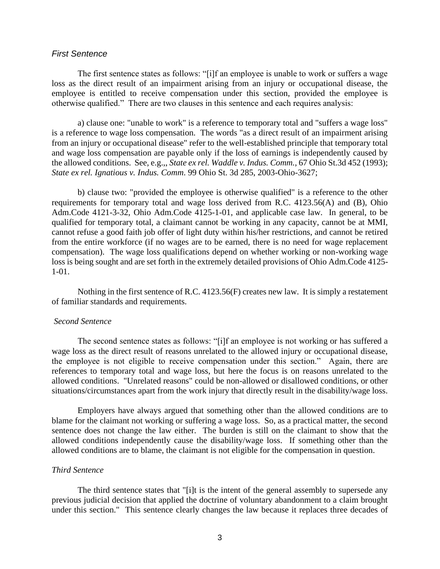#### *First Sentence*

The first sentence states as follows: "[i]f an employee is unable to work or suffers a wage loss as the direct result of an impairment arising from an injury or occupational disease, the employee is entitled to receive compensation under this section, provided the employee is otherwise qualified." There are two clauses in this sentence and each requires analysis:

a) clause one: "unable to work" is a reference to temporary total and "suffers a wage loss" is a reference to wage loss compensation. The words "as a direct result of an impairment arising from an injury or occupational disease" refer to the well-established principle that temporary total and wage loss compensation are payable only if the loss of earnings is independently caused by the allowed conditions. See, e.g.,, *State ex rel. Waddle v. Indus. Comm.*, 67 Ohio St.3d 452 (1993); *State ex rel. Ignatious v. Indus. Comm*. 99 Ohio St. 3d 285, 2003-Ohio-3627;

b) clause two: "provided the employee is otherwise qualified" is a reference to the other requirements for temporary total and wage loss derived from R.C. 4123.56(A) and (B), Ohio Adm.Code 4121-3-32, Ohio Adm.Code 4125-1-01, and applicable case law. In general, to be qualified for temporary total, a claimant cannot be working in any capacity, cannot be at MMI, cannot refuse a good faith job offer of light duty within his/her restrictions, and cannot be retired from the entire workforce (if no wages are to be earned, there is no need for wage replacement compensation). The wage loss qualifications depend on whether working or non-working wage loss is being sought and are set forth in the extremely detailed provisions of Ohio Adm.Code 4125- 1-01.

Nothing in the first sentence of R.C. 4123.56(F) creates new law. It is simply a restatement of familiar standards and requirements.

### *Second Sentence*

The second sentence states as follows: "[i]f an employee is not working or has suffered a wage loss as the direct result of reasons unrelated to the allowed injury or occupational disease, the employee is not eligible to receive compensation under this section." Again, there are references to temporary total and wage loss, but here the focus is on reasons unrelated to the allowed conditions. "Unrelated reasons" could be non-allowed or disallowed conditions, or other situations/circumstances apart from the work injury that directly result in the disability/wage loss.

Employers have always argued that something other than the allowed conditions are to blame for the claimant not working or suffering a wage loss. So, as a practical matter, the second sentence does not change the law either. The burden is still on the claimant to show that the allowed conditions independently cause the disability/wage loss. If something other than the allowed conditions are to blame, the claimant is not eligible for the compensation in question.

#### *Third Sentence*

The third sentence states that "[i]t is the intent of the general assembly to supersede any previous judicial decision that applied the doctrine of voluntary abandonment to a claim brought under this section." This sentence clearly changes the law because it replaces three decades of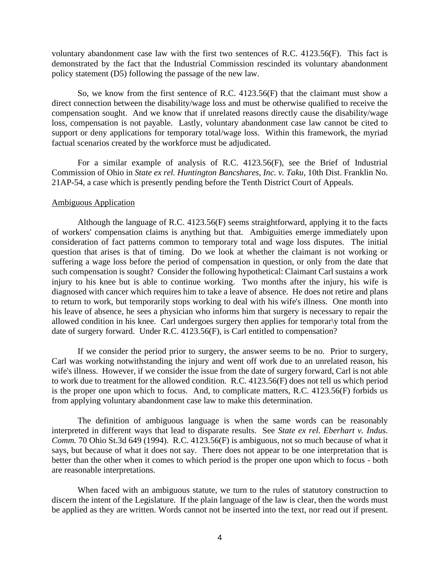voluntary abandonment case law with the first two sentences of R.C. 4123.56(F). This fact is demonstrated by the fact that the Industrial Commission rescinded its voluntary abandonment policy statement (D5) following the passage of the new law.

So, we know from the first sentence of R.C. 4123.56(F) that the claimant must show a direct connection between the disability/wage loss and must be otherwise qualified to receive the compensation sought. And we know that if unrelated reasons directly cause the disability/wage loss, compensation is not payable. Lastly, voluntary abandonment case law cannot be cited to support or deny applications for temporary total/wage loss. Within this framework, the myriad factual scenarios created by the workforce must be adjudicated.

For a similar example of analysis of R.C. 4123.56(F), see the Brief of Industrial Commission of Ohio in *State ex rel. Huntington Bancshares, Inc. v. Taku*, 10th Dist. Franklin No. 21AP-54, a case which is presently pending before the Tenth District Court of Appeals.

#### Ambiguous Application

Although the language of R.C. 4123.56(F) seems straightforward, applying it to the facts of workers' compensation claims is anything but that. Ambiguities emerge immediately upon consideration of fact patterns common to temporary total and wage loss disputes. The initial question that arises is that of timing. Do we look at whether the claimant is not working or suffering a wage loss before the period of compensation in question, or only from the date that such compensation is sought? Consider the following hypothetical: Claimant Carl sustains a work injury to his knee but is able to continue working. Two months after the injury, his wife is diagnosed with cancer which requires him to take a leave of absence. He does not retire and plans to return to work, but temporarily stops working to deal with his wife's illness. One month into his leave of absence, he sees a physician who informs him that surgery is necessary to repair the allowed condition in his knee. Carl undergoes surgery then applies for temporar\y total from the date of surgery forward. Under R.C. 4123.56(F), is Carl entitled to compensation?

If we consider the period prior to surgery, the answer seems to be no. Prior to surgery, Carl was working notwithstanding the injury and went off work due to an unrelated reason, his wife's illness. However, if we consider the issue from the date of surgery forward, Carl is not able to work due to treatment for the allowed condition. R.C. 4123.56(F) does not tell us which period is the proper one upon which to focus. And, to complicate matters, R.C. 4123.56(F) forbids us from applying voluntary abandonment case law to make this determination.

The definition of ambiguous language is when the same words can be reasonably interpreted in different ways that lead to disparate results. See *State ex rel. Eberhart v. Indus. Comm.* 70 Ohio St.3d 649 (1994). R.C. 4123.56(F) is ambiguous, not so much because of what it says, but because of what it does not say. There does not appear to be one interpretation that is better than the other when it comes to which period is the proper one upon which to focus - both are reasonable interpretations.

When faced with an ambiguous statute, we turn to the rules of statutory construction to discern the intent of the Legislature. If the plain language of the law is clear, then the words must be applied as they are written. Words cannot not be inserted into the text, nor read out if present.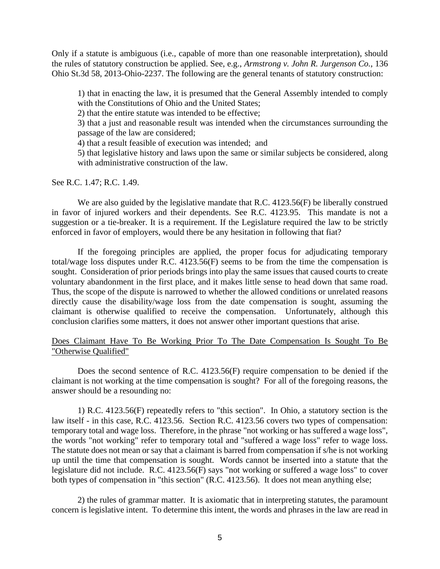Only if a statute is ambiguous (i.e., capable of more than one reasonable interpretation), should the rules of statutory construction be applied. See, e.g., *Armstrong v. John R. Jurgenson Co.*, 136 Ohio St.3d 58, 2013-Ohio-2237. The following are the general tenants of statutory construction:

1) that in enacting the law, it is presumed that the General Assembly intended to comply with the Constitutions of Ohio and the United States;

2) that the entire statute was intended to be effective;

3) that a just and reasonable result was intended when the circumstances surrounding the passage of the law are considered;

4) that a result feasible of execution was intended; and

5) that legislative history and laws upon the same or similar subjects be considered, along with administrative construction of the law.

See R.C. 1.47; R.C. 1.49.

We are also guided by the legislative mandate that R.C. 4123.56(F) be liberally construed in favor of injured workers and their dependents. See R.C. 4123.95. This mandate is not a suggestion or a tie-breaker. It is a requirement. If the Legislature required the law to be strictly enforced in favor of employers, would there be any hesitation in following that fiat?

If the foregoing principles are applied, the proper focus for adjudicating temporary total/wage loss disputes under R.C. 4123.56(F) seems to be from the time the compensation is sought. Consideration of prior periods brings into play the same issues that caused courts to create voluntary abandonment in the first place, and it makes little sense to head down that same road. Thus, the scope of the dispute is narrowed to whether the allowed conditions or unrelated reasons directly cause the disability/wage loss from the date compensation is sought, assuming the claimant is otherwise qualified to receive the compensation. Unfortunately, although this conclusion clarifies some matters, it does not answer other important questions that arise.

Does Claimant Have To Be Working Prior To The Date Compensation Is Sought To Be "Otherwise Qualified"

Does the second sentence of R.C. 4123.56(F) require compensation to be denied if the claimant is not working at the time compensation is sought? For all of the foregoing reasons, the answer should be a resounding no:

1) R.C. 4123.56(F) repeatedly refers to "this section". In Ohio, a statutory section is the law itself - in this case, R.C. 4123.56. Section R.C. 4123.56 covers two types of compensation: temporary total and wage loss. Therefore, in the phrase "not working or has suffered a wage loss", the words "not working" refer to temporary total and "suffered a wage loss" refer to wage loss. The statute does not mean or say that a claimant is barred from compensation if s/he is not working up until the time that compensation is sought. Words cannot be inserted into a statute that the legislature did not include. R.C. 4123.56(F) says "not working or suffered a wage loss" to cover both types of compensation in "this section" (R.C. 4123.56). It does not mean anything else;

2) the rules of grammar matter. It is axiomatic that in interpreting statutes, the paramount concern is legislative intent. To determine this intent, the words and phrases in the law are read in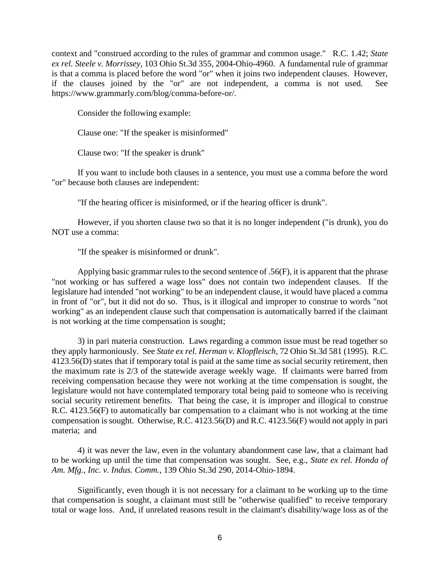context and "construed according to the rules of grammar and common usage." R.C. 1.42; *State ex rel. Steele v. Morrissey*, 103 Ohio St.3d 355, 2004-Ohio-4960. A fundamental rule of grammar is that a comma is placed before the word "or" when it joins two independent clauses. However, if the clauses joined by the "or" are not independent, a comma is not used. See https://www.grammarly.com/blog/comma-before-or/.

Consider the following example:

Clause one: "If the speaker is misinformed"

Clause two: "If the speaker is drunk"

If you want to include both clauses in a sentence, you must use a comma before the word "or" because both clauses are independent:

"If the hearing officer is misinformed, or if the hearing officer is drunk".

However, if you shorten clause two so that it is no longer independent ("is drunk), you do NOT use a comma:

"If the speaker is misinformed or drunk".

Applying basic grammar rules to the second sentence of .56(F), it is apparent that the phrase "not working or has suffered a wage loss" does not contain two independent clauses. If the legislature had intended "not working" to be an independent clause, it would have placed a comma in front of "or", but it did not do so. Thus, is it illogical and improper to construe to words "not working" as an independent clause such that compensation is automatically barred if the claimant is not working at the time compensation is sought;

3) in pari materia construction. Laws regarding a common issue must be read together so they apply harmoniously. See *State ex rel. Herman v. Klopfleisch*, 72 Ohio St.3d 581 (1995). R.C. 4123.56(D) states that if temporary total is paid at the same time as social security retirement, then the maximum rate is 2/3 of the statewide average weekly wage. If claimants were barred from receiving compensation because they were not working at the time compensation is sought, the legislature would not have contemplated temporary total being paid to someone who is receiving social security retirement benefits. That being the case, it is improper and illogical to construe R.C. 4123.56(F) to automatically bar compensation to a claimant who is not working at the time compensation is sought. Otherwise, R.C. 4123.56(D) and R.C. 4123.56(F) would not apply in pari materia; and

4) it was never the law, even in the voluntary abandonment case law, that a claimant had to be working up until the time that compensation was sought. See, e.g., *State ex rel. Honda of Am. Mfg., Inc. v. Indus. Comm.*, 139 Ohio St.3d 290, 2014-Ohio-1894.

Significantly, even though it is not necessary for a claimant to be working up to the time that compensation is sought, a claimant must still be "otherwise qualified" to receive temporary total or wage loss. And, if unrelated reasons result in the claimant's disability/wage loss as of the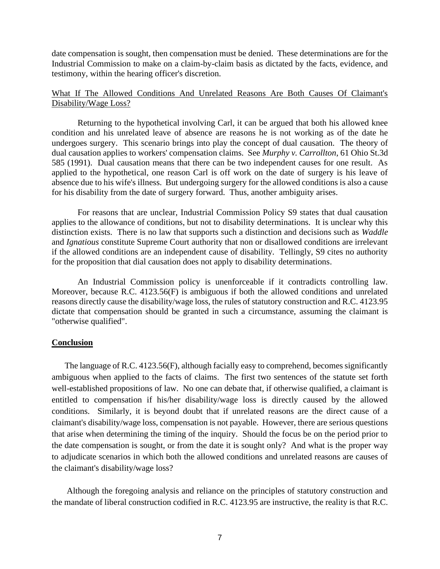date compensation is sought, then compensation must be denied. These determinations are for the Industrial Commission to make on a claim-by-claim basis as dictated by the facts, evidence, and testimony, within the hearing officer's discretion.

## What If The Allowed Conditions And Unrelated Reasons Are Both Causes Of Claimant's Disability/Wage Loss?

Returning to the hypothetical involving Carl, it can be argued that both his allowed knee condition and his unrelated leave of absence are reasons he is not working as of the date he undergoes surgery. This scenario brings into play the concept of dual causation. The theory of dual causation applies to workers' compensation claims. See *Murphy v. Carrollton*, 61 Ohio St.3d 585 (1991). Dual causation means that there can be two independent causes for one result. As applied to the hypothetical, one reason Carl is off work on the date of surgery is his leave of absence due to his wife's illness. But undergoing surgery for the allowed conditions is also a cause for his disability from the date of surgery forward. Thus, another ambiguity arises.

For reasons that are unclear, Industrial Commission Policy S9 states that dual causation applies to the allowance of conditions, but not to disability determinations. It is unclear why this distinction exists. There is no law that supports such a distinction and decisions such as *Waddle* and *Ignatious* constitute Supreme Court authority that non or disallowed conditions are irrelevant if the allowed conditions are an independent cause of disability. Tellingly, S9 cites no authority for the proposition that dial causation does not apply to disability determinations.

An Industrial Commission policy is unenforceable if it contradicts controlling law. Moreover, because R.C. 4123.56(F) is ambiguous if both the allowed conditions and unrelated reasons directly cause the disability/wage loss, the rules of statutory construction and R.C. 4123.95 dictate that compensation should be granted in such a circumstance, assuming the claimant is "otherwise qualified".

## **Conclusion**

 The language of R.C. 4123.56(F), although facially easy to comprehend, becomes significantly ambiguous when applied to the facts of claims. The first two sentences of the statute set forth well-established propositions of law. No one can debate that, if otherwise qualified, a claimant is entitled to compensation if his/her disability/wage loss is directly caused by the allowed conditions. Similarly, it is beyond doubt that if unrelated reasons are the direct cause of a claimant's disability/wage loss, compensation is not payable. However, there are serious questions that arise when determining the timing of the inquiry. Should the focus be on the period prior to the date compensation is sought, or from the date it is sought only? And what is the proper way to adjudicate scenarios in which both the allowed conditions and unrelated reasons are causes of the claimant's disability/wage loss?

 Although the foregoing analysis and reliance on the principles of statutory construction and the mandate of liberal construction codified in R.C. 4123.95 are instructive, the reality is that R.C.